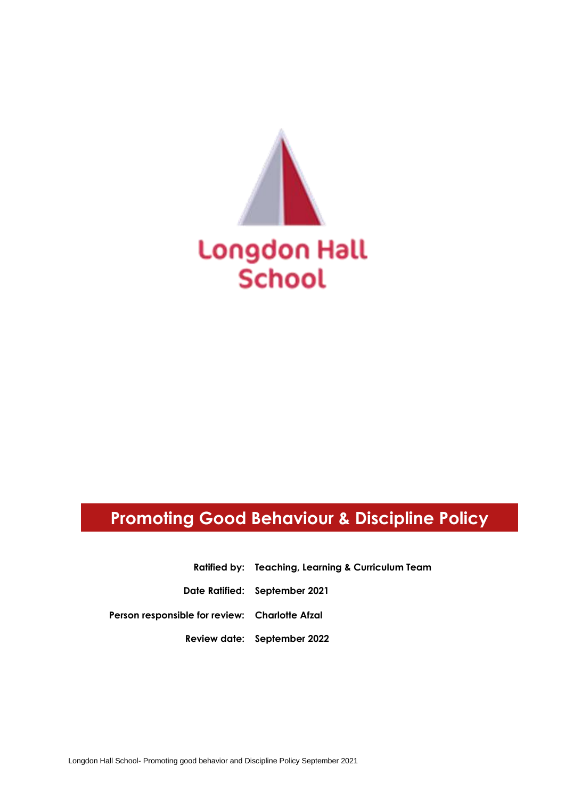

# **Promoting Good Behaviour & Discipline Policy**

**Ratified by: Teaching, Learning & Curriculum Team**

**Date Ratified: September 2021**

**Person responsible for review: Charlotte Afzal**

**Review date: September 2022**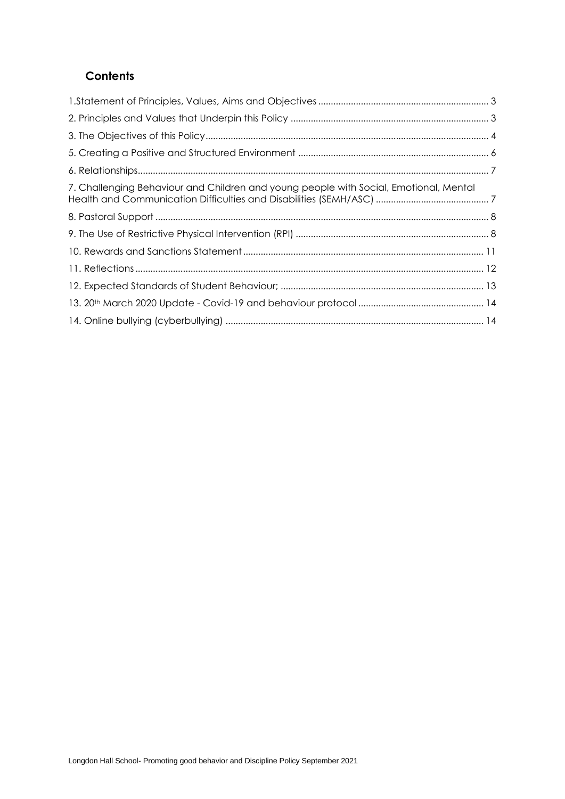# **Contents**

| 7. Challenging Behaviour and Children and young people with Social, Emotional, Mental |  |
|---------------------------------------------------------------------------------------|--|
|                                                                                       |  |
|                                                                                       |  |
|                                                                                       |  |
|                                                                                       |  |
|                                                                                       |  |
|                                                                                       |  |
|                                                                                       |  |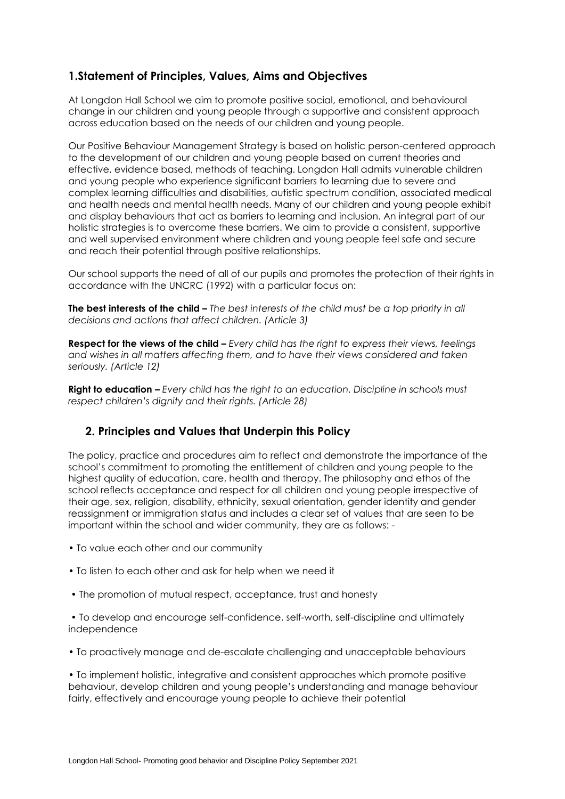# <span id="page-2-0"></span>**1.Statement of Principles, Values, Aims and Objectives**

At Longdon Hall School we aim to promote positive social, emotional, and behavioural change in our children and young people through a supportive and consistent approach across education based on the needs of our children and young people.

Our Positive Behaviour Management Strategy is based on holistic person-centered approach to the development of our children and young people based on current theories and effective, evidence based, methods of teaching. Longdon Hall admits vulnerable children and young people who experience significant barriers to learning due to severe and complex learning difficulties and disabilities, autistic spectrum condition, associated medical and health needs and mental health needs. Many of our children and young people exhibit and display behaviours that act as barriers to learning and inclusion. An integral part of our holistic strategies is to overcome these barriers. We aim to provide a consistent, supportive and well supervised environment where children and young people feel safe and secure and reach their potential through positive relationships.

Our school supports the need of all of our pupils and promotes the protection of their rights in accordance with the UNCRC (1992) with a particular focus on:

**The best interests of the child –** *The best interests of the child must be a top priority in all decisions and actions that affect children. (Article 3)*

**Respect for the views of the child –** *Every child has the right to express their views, feelings and wishes in all matters affecting them, and to have their views considered and taken seriously. (Article 12)*

**Right to education –** *Every child has the right to an education. Discipline in schools must respect children's dignity and their rights. (Article 28)*

# <span id="page-2-1"></span>**2. Principles and Values that Underpin this Policy**

The policy, practice and procedures aim to reflect and demonstrate the importance of the school's commitment to promoting the entitlement of children and young people to the highest quality of education, care, health and therapy. The philosophy and ethos of the school reflects acceptance and respect for all children and young people irrespective of their age, sex, religion, disability, ethnicity, sexual orientation, gender identity and gender reassignment or immigration status and includes a clear set of values that are seen to be important within the school and wider community, they are as follows: -

- To value each other and our community
- To listen to each other and ask for help when we need it
- The promotion of mutual respect, acceptance, trust and honesty

• To develop and encourage self-confidence, self-worth, self-discipline and ultimately independence

• To proactively manage and de-escalate challenging and unacceptable behaviours

• To implement holistic, integrative and consistent approaches which promote positive behaviour, develop children and young people's understanding and manage behaviour fairly, effectively and encourage young people to achieve their potential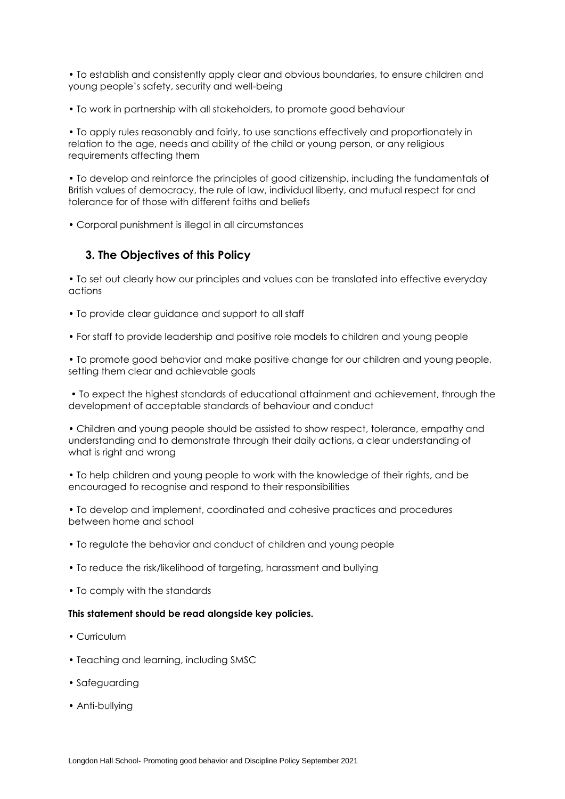• To establish and consistently apply clear and obvious boundaries, to ensure children and young people's safety, security and well-being

• To work in partnership with all stakeholders, to promote good behaviour

• To apply rules reasonably and fairly, to use sanctions effectively and proportionately in relation to the age, needs and ability of the child or young person, or any religious requirements affecting them

• To develop and reinforce the principles of good citizenship, including the fundamentals of British values of democracy, the rule of law, individual liberty, and mutual respect for and tolerance for of those with different faiths and beliefs

• Corporal punishment is illegal in all circumstances

#### <span id="page-3-0"></span>**3. The Objectives of this Policy**

• To set out clearly how our principles and values can be translated into effective everyday actions

- To provide clear guidance and support to all staff
- For staff to provide leadership and positive role models to children and young people

• To promote good behavior and make positive change for our children and young people, setting them clear and achievable goals

• To expect the highest standards of educational attainment and achievement, through the development of acceptable standards of behaviour and conduct

• Children and young people should be assisted to show respect, tolerance, empathy and understanding and to demonstrate through their daily actions, a clear understanding of what is right and wrong

• To help children and young people to work with the knowledge of their rights, and be encouraged to recognise and respond to their responsibilities

• To develop and implement, coordinated and cohesive practices and procedures between home and school

- To regulate the behavior and conduct of children and young people
- To reduce the risk/likelihood of targeting, harassment and bullying
- To comply with the standards

#### **This statement should be read alongside key policies.**

- Curriculum
- Teaching and learning, including SMSC
- Safeguarding
- Anti-bullying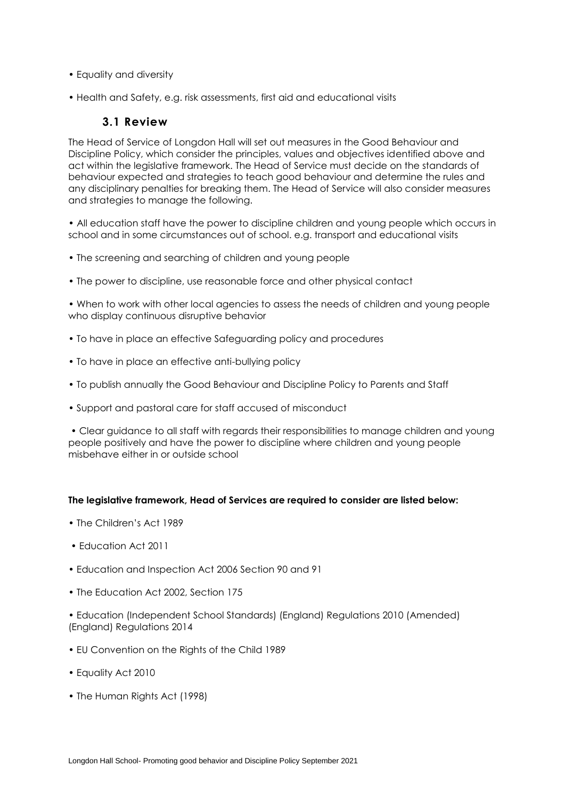- Equality and diversity
- Health and Safety, e.g. risk assessments, first aid and educational visits

### **3.1 Review**

The Head of Service of Longdon Hall will set out measures in the Good Behaviour and Discipline Policy, which consider the principles, values and objectives identified above and act within the legislative framework. The Head of Service must decide on the standards of behaviour expected and strategies to teach good behaviour and determine the rules and any disciplinary penalties for breaking them. The Head of Service will also consider measures and strategies to manage the following.

• All education staff have the power to discipline children and young people which occurs in school and in some circumstances out of school. e.g. transport and educational visits

- The screening and searching of children and young people
- The power to discipline, use reasonable force and other physical contact

• When to work with other local agencies to assess the needs of children and young people who display continuous disruptive behavior

- To have in place an effective Safeguarding policy and procedures
- To have in place an effective anti-bullying policy
- To publish annually the Good Behaviour and Discipline Policy to Parents and Staff
- Support and pastoral care for staff accused of misconduct

• Clear guidance to all staff with regards their responsibilities to manage children and young people positively and have the power to discipline where children and young people misbehave either in or outside school

#### **The legislative framework, Head of Services are required to consider are listed below:**

- The Children's Act 1989
- Education Act 2011
- Education and Inspection Act 2006 Section 90 and 91
- The Education Act 2002, Section 175

• Education (Independent School Standards) (England) Regulations 2010 (Amended) (England) Regulations 2014

- EU Convention on the Rights of the Child 1989
- Equality Act 2010
- The Human Rights Act (1998)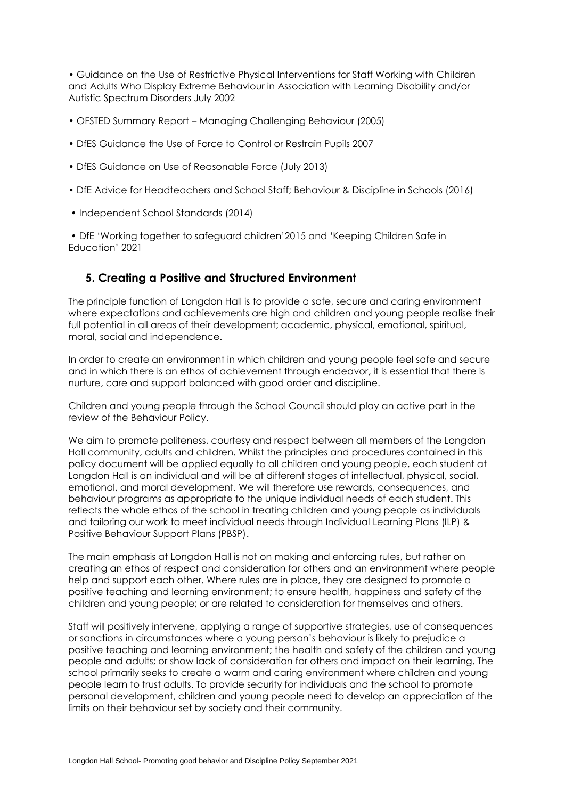• Guidance on the Use of Restrictive Physical Interventions for Staff Working with Children and Adults Who Display Extreme Behaviour in Association with Learning Disability and/or Autistic Spectrum Disorders July 2002

- OFSTED Summary Report Managing Challenging Behaviour (2005)
- DfES Guidance the Use of Force to Control or Restrain Pupils 2007
- DfES Guidance on Use of Reasonable Force (July 2013)
- DfE Advice for Headteachers and School Staff; Behaviour & Discipline in Schools (2016)
- Independent School Standards (2014)

• DfE 'Working together to safeguard children'2015 and 'Keeping Children Safe in Education' 2021

### <span id="page-5-0"></span>**5. Creating a Positive and Structured Environment**

The principle function of Longdon Hall is to provide a safe, secure and caring environment where expectations and achievements are high and children and young people realise their full potential in all areas of their development; academic, physical, emotional, spiritual, moral, social and independence.

In order to create an environment in which children and young people feel safe and secure and in which there is an ethos of achievement through endeavor, it is essential that there is nurture, care and support balanced with good order and discipline.

Children and young people through the School Council should play an active part in the review of the Behaviour Policy.

We aim to promote politeness, courtesy and respect between all members of the Longdon Hall community, adults and children. Whilst the principles and procedures contained in this policy document will be applied equally to all children and young people, each student at Longdon Hall is an individual and will be at different stages of intellectual, physical, social, emotional, and moral development. We will therefore use rewards, consequences, and behaviour programs as appropriate to the unique individual needs of each student. This reflects the whole ethos of the school in treating children and young people as individuals and tailoring our work to meet individual needs through Individual Learning Plans (ILP) & Positive Behaviour Support Plans (PBSP).

The main emphasis at Longdon Hall is not on making and enforcing rules, but rather on creating an ethos of respect and consideration for others and an environment where people help and support each other. Where rules are in place, they are designed to promote a positive teaching and learning environment; to ensure health, happiness and safety of the children and young people; or are related to consideration for themselves and others.

Staff will positively intervene, applying a range of supportive strategies, use of consequences or sanctions in circumstances where a young person's behaviour is likely to prejudice a positive teaching and learning environment; the health and safety of the children and young people and adults; or show lack of consideration for others and impact on their learning. The school primarily seeks to create a warm and caring environment where children and young people learn to trust adults. To provide security for individuals and the school to promote personal development, children and young people need to develop an appreciation of the limits on their behaviour set by society and their community.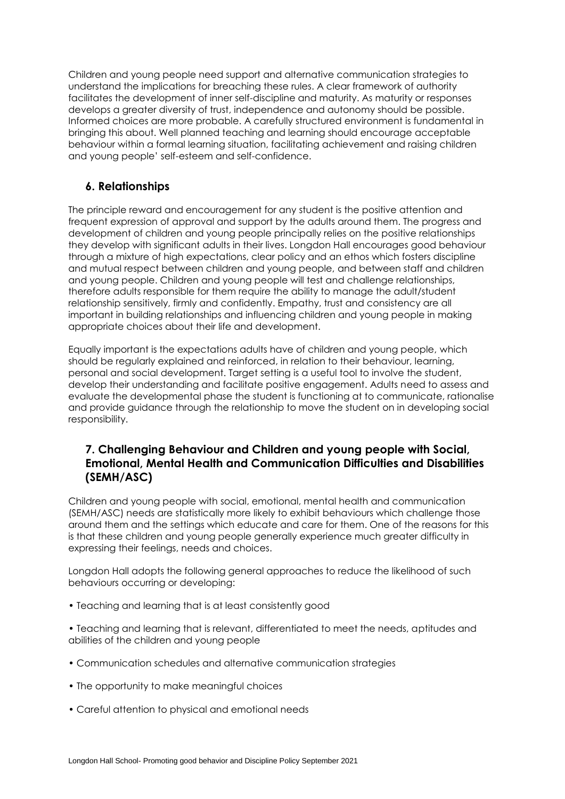Children and young people need support and alternative communication strategies to understand the implications for breaching these rules. A clear framework of authority facilitates the development of inner self-discipline and maturity. As maturity or responses develops a greater diversity of trust, independence and autonomy should be possible. Informed choices are more probable. A carefully structured environment is fundamental in bringing this about. Well planned teaching and learning should encourage acceptable behaviour within a formal learning situation, facilitating achievement and raising children and young people' self-esteem and self-confidence.

### <span id="page-6-0"></span>**6. Relationships**

The principle reward and encouragement for any student is the positive attention and frequent expression of approval and support by the adults around them. The progress and development of children and young people principally relies on the positive relationships they develop with significant adults in their lives. Longdon Hall encourages good behaviour through a mixture of high expectations, clear policy and an ethos which fosters discipline and mutual respect between children and young people, and between staff and children and young people. Children and young people will test and challenge relationships, therefore adults responsible for them require the ability to manage the adult/student relationship sensitively, firmly and confidently. Empathy, trust and consistency are all important in building relationships and influencing children and young people in making appropriate choices about their life and development.

Equally important is the expectations adults have of children and young people, which should be regularly explained and reinforced, in relation to their behaviour, learning, personal and social development. Target setting is a useful tool to involve the student, develop their understanding and facilitate positive engagement. Adults need to assess and evaluate the developmental phase the student is functioning at to communicate, rationalise and provide guidance through the relationship to move the student on in developing social responsibility.

# <span id="page-6-1"></span>**7. Challenging Behaviour and Children and young people with Social, Emotional, Mental Health and Communication Difficulties and Disabilities (SEMH/ASC)**

Children and young people with social, emotional, mental health and communication (SEMH/ASC) needs are statistically more likely to exhibit behaviours which challenge those around them and the settings which educate and care for them. One of the reasons for this is that these children and young people generally experience much greater difficulty in expressing their feelings, needs and choices.

Longdon Hall adopts the following general approaches to reduce the likelihood of such behaviours occurring or developing:

- Teaching and learning that is at least consistently good
- Teaching and learning that is relevant, differentiated to meet the needs, aptitudes and abilities of the children and young people
- Communication schedules and alternative communication strategies
- The opportunity to make meaningful choices
- Careful attention to physical and emotional needs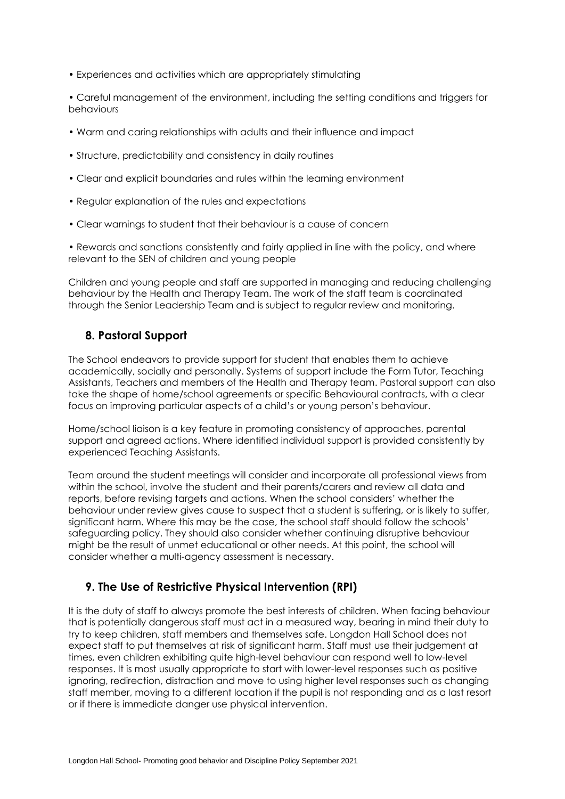• Experiences and activities which are appropriately stimulating

• Careful management of the environment, including the setting conditions and triggers for behaviours

- Warm and caring relationships with adults and their influence and impact
- Structure, predictability and consistency in daily routines
- Clear and explicit boundaries and rules within the learning environment
- Regular explanation of the rules and expectations
- Clear warnings to student that their behaviour is a cause of concern

• Rewards and sanctions consistently and fairly applied in line with the policy, and where relevant to the SEN of children and young people

Children and young people and staff are supported in managing and reducing challenging behaviour by the Health and Therapy Team. The work of the staff team is coordinated through the Senior Leadership Team and is subject to regular review and monitoring.

### <span id="page-7-0"></span>**8. Pastoral Support**

The School endeavors to provide support for student that enables them to achieve academically, socially and personally. Systems of support include the Form Tutor, Teaching Assistants, Teachers and members of the Health and Therapy team. Pastoral support can also take the shape of home/school agreements or specific Behavioural contracts, with a clear focus on improving particular aspects of a child's or young person's behaviour.

Home/school liaison is a key feature in promoting consistency of approaches, parental support and agreed actions. Where identified individual support is provided consistently by experienced Teaching Assistants.

Team around the student meetings will consider and incorporate all professional views from within the school, involve the student and their parents/carers and review all data and reports, before revising targets and actions. When the school considers' whether the behaviour under review gives cause to suspect that a student is suffering, or is likely to suffer, significant harm. Where this may be the case, the school staff should follow the schools' safeguarding policy. They should also consider whether continuing disruptive behaviour might be the result of unmet educational or other needs. At this point, the school will consider whether a multi-agency assessment is necessary.

# <span id="page-7-1"></span>**9. The Use of Restrictive Physical Intervention (RPI)**

It is the duty of staff to always promote the best interests of children. When facing behaviour that is potentially dangerous staff must act in a measured way, bearing in mind their duty to try to keep children, staff members and themselves safe. Longdon Hall School does not expect staff to put themselves at risk of significant harm. Staff must use their judgement at times, even children exhibiting quite high-level behaviour can respond well to low-level responses. It is most usually appropriate to start with lower-level responses such as positive ignoring, redirection, distraction and move to using higher level responses such as changing staff member, moving to a different location if the pupil is not responding and as a last resort or if there is immediate danger use physical intervention.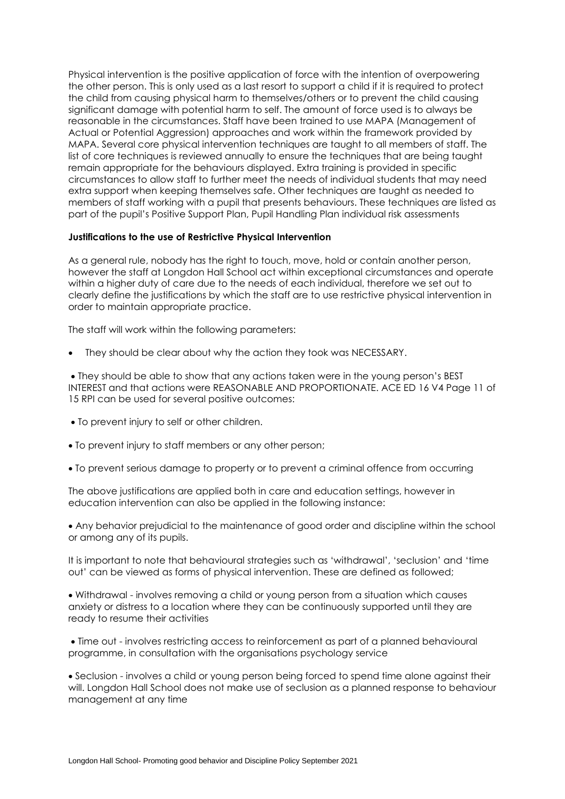Physical intervention is the positive application of force with the intention of overpowering the other person. This is only used as a last resort to support a child if it is required to protect the child from causing physical harm to themselves/others or to prevent the child causing significant damage with potential harm to self. The amount of force used is to always be reasonable in the circumstances. Staff have been trained to use MAPA (Management of Actual or Potential Aggression) approaches and work within the framework provided by MAPA. Several core physical intervention techniques are taught to all members of staff. The list of core techniques is reviewed annually to ensure the techniques that are being taught remain appropriate for the behaviours displayed. Extra training is provided in specific circumstances to allow staff to further meet the needs of individual students that may need extra support when keeping themselves safe. Other techniques are taught as needed to members of staff working with a pupil that presents behaviours. These techniques are listed as part of the pupil's Positive Support Plan, Pupil Handling Plan individual risk assessments

#### **Justifications to the use of Restrictive Physical Intervention**

As a general rule, nobody has the right to touch, move, hold or contain another person, however the staff at Longdon Hall School act within exceptional circumstances and operate within a higher duty of care due to the needs of each individual, therefore we set out to clearly define the justifications by which the staff are to use restrictive physical intervention in order to maintain appropriate practice.

The staff will work within the following parameters:

They should be clear about why the action they took was NECESSARY.

 They should be able to show that any actions taken were in the young person's BEST INTEREST and that actions were REASONABLE AND PROPORTIONATE. ACE ED 16 V4 Page 11 of 15 RPI can be used for several positive outcomes:

- To prevent injury to self or other children.
- To prevent injury to staff members or any other person;
- To prevent serious damage to property or to prevent a criminal offence from occurring

The above justifications are applied both in care and education settings, however in education intervention can also be applied in the following instance:

 Any behavior prejudicial to the maintenance of good order and discipline within the school or among any of its pupils.

It is important to note that behavioural strategies such as 'withdrawal', 'seclusion' and 'time out' can be viewed as forms of physical intervention. These are defined as followed;

 Withdrawal - involves removing a child or young person from a situation which causes anxiety or distress to a location where they can be continuously supported until they are ready to resume their activities

 Time out - involves restricting access to reinforcement as part of a planned behavioural programme, in consultation with the organisations psychology service

 Seclusion - involves a child or young person being forced to spend time alone against their will. Longdon Hall School does not make use of seclusion as a planned response to behaviour management at any time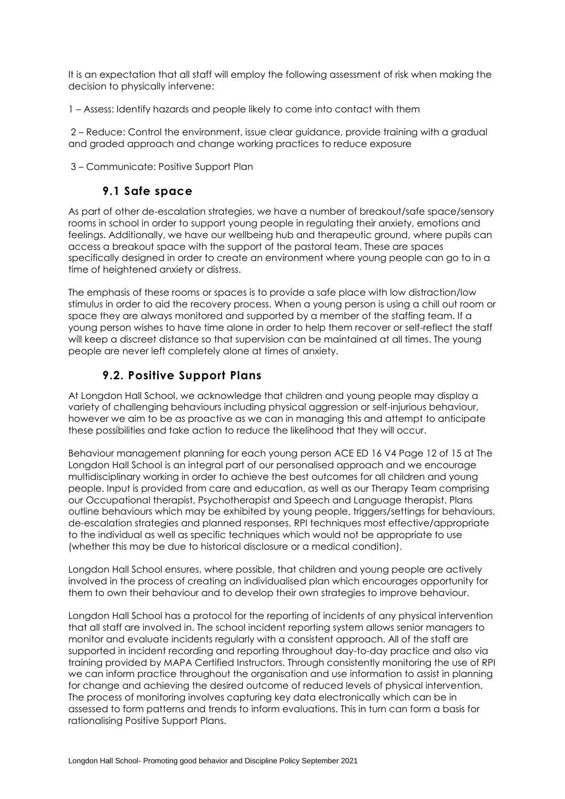It is an expectation that all staff will employ the following assessment of risk when making the decision to physically intervene:

1 – Assess: Identify hazards and people likely to come into contact with them

2 – Reduce: Control the environment, issue clear guidance, provide training with a gradual and graded approach and change working practices to reduce exposure

3 – Communicate: Positive Support Plan

### **9.1 Safe space**

As part of other de-escalation strategies, we have a number of breakout/safe space/sensory rooms in school in order to support young people in regulating their anxiety, emotions and feelings. Additionally, we have our wellbeing hub and therapeutic ground, where pupils can access a breakout space with the support of the pastoral team. These are spaces specifically designed in order to create an environment where young people can go to in a time of heightened anxiety or distress.

The emphasis of these rooms or spaces is to provide a safe place with low distraction/low stimulus in order to aid the recovery process. When a young person is using a chill out room or space they are always monitored and supported by a member of the staffing team. If a young person wishes to have time alone in order to help them recover or self-reflect the staff will keep a discreet distance so that supervision can be maintained at all times. The young people are never left completely alone at times of anxiety.

# **9.2. Positive Support Plans**

At Longdon Hall School, we acknowledge that children and young people may display a variety of challenging behaviours including physical aggression or self-injurious behaviour, however we aim to be as proactive as we can in managing this and attempt to anticipate these possibilities and take action to reduce the likelihood that they will occur.

Behaviour management planning for each young person ACE ED 16 V4 Page 12 of 15 at The Longdon Hall School is an integral part of our personalised approach and we encourage multidisciplinary working in order to achieve the best outcomes for all children and young people. Input is provided from care and education, as well as our Therapy Team comprising our Occupational therapist, Psychotherapist and Speech and Language therapist. Plans outline behaviours which may be exhibited by young people, triggers/settings for behaviours, de-escalation strategies and planned responses, RPI techniques most effective/appropriate to the individual as well as specific techniques which would not be appropriate to use (whether this may be due to historical disclosure or a medical condition).

Longdon Hall School ensures, where possible, that children and young people are actively involved in the process of creating an individualised plan which encourages opportunity for them to own their behaviour and to develop their own strategies to improve behaviour.

Longdon Hall School has a protocol for the reporting of incidents of any physical intervention that all staff are involved in. The school incident reporting system allows senior managers to monitor and evaluate incidents regularly with a consistent approach. All of the staff are supported in incident recording and reporting throughout day-to-day practice and also via training provided by MAPA Certified Instructors. Through consistently monitoring the use of RPI we can inform practice throughout the organisation and use information to assist in planning for change and achieving the desired outcome of reduced levels of physical intervention. The process of monitoring involves capturing key data electronically which can be in assessed to form patterns and trends to inform evaluations. This in turn can form a basis for rationalising Positive Support Plans.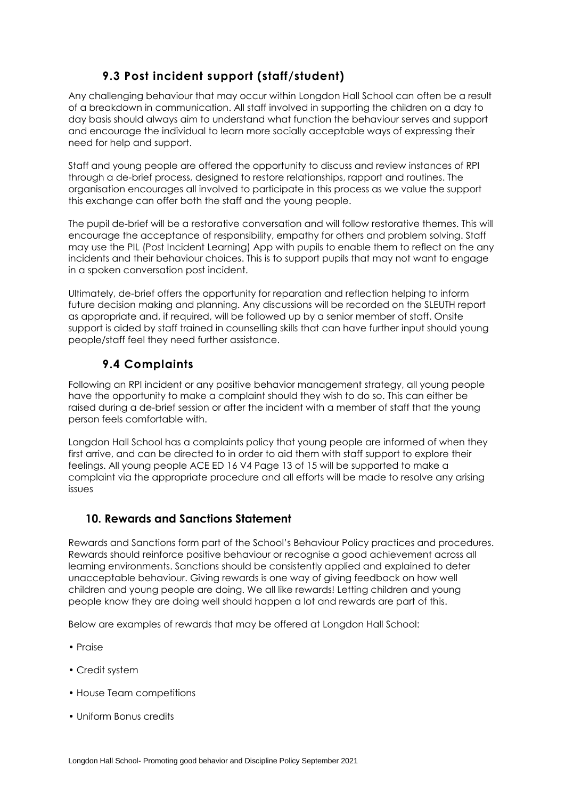# **9.3 Post incident support (staff/student)**

Any challenging behaviour that may occur within Longdon Hall School can often be a result of a breakdown in communication. All staff involved in supporting the children on a day to day basis should always aim to understand what function the behaviour serves and support and encourage the individual to learn more socially acceptable ways of expressing their need for help and support.

Staff and young people are offered the opportunity to discuss and review instances of RPI through a de-brief process, designed to restore relationships, rapport and routines. The organisation encourages all involved to participate in this process as we value the support this exchange can offer both the staff and the young people.

The pupil de-brief will be a restorative conversation and will follow restorative themes. This will encourage the acceptance of responsibility, empathy for others and problem solving. Staff may use the PIL (Post Incident Learning) App with pupils to enable them to reflect on the any incidents and their behaviour choices. This is to support pupils that may not want to engage in a spoken conversation post incident.

Ultimately, de-brief offers the opportunity for reparation and reflection helping to inform future decision making and planning. Any discussions will be recorded on the SLEUTH report as appropriate and, if required, will be followed up by a senior member of staff. Onsite support is aided by staff trained in counselling skills that can have further input should young people/staff feel they need further assistance.

# **9.4 Complaints**

Following an RPI incident or any positive behavior management strategy, all young people have the opportunity to make a complaint should they wish to do so. This can either be raised during a de-brief session or after the incident with a member of staff that the young person feels comfortable with.

Longdon Hall School has a complaints policy that young people are informed of when they first arrive, and can be directed to in order to aid them with staff support to explore their feelings. All young people ACE ED 16 V4 Page 13 of 15 will be supported to make a complaint via the appropriate procedure and all efforts will be made to resolve any arising issues

# <span id="page-10-0"></span>**10. Rewards and Sanctions Statement**

Rewards and Sanctions form part of the School's Behaviour Policy practices and procedures. Rewards should reinforce positive behaviour or recognise a good achievement across all learning environments. Sanctions should be consistently applied and explained to deter unacceptable behaviour. Giving rewards is one way of giving feedback on how well children and young people are doing. We all like rewards! Letting children and young people know they are doing well should happen a lot and rewards are part of this.

Below are examples of rewards that may be offered at Longdon Hall School:

- Praise
- Credit system
- House Team competitions
- Uniform Bonus credits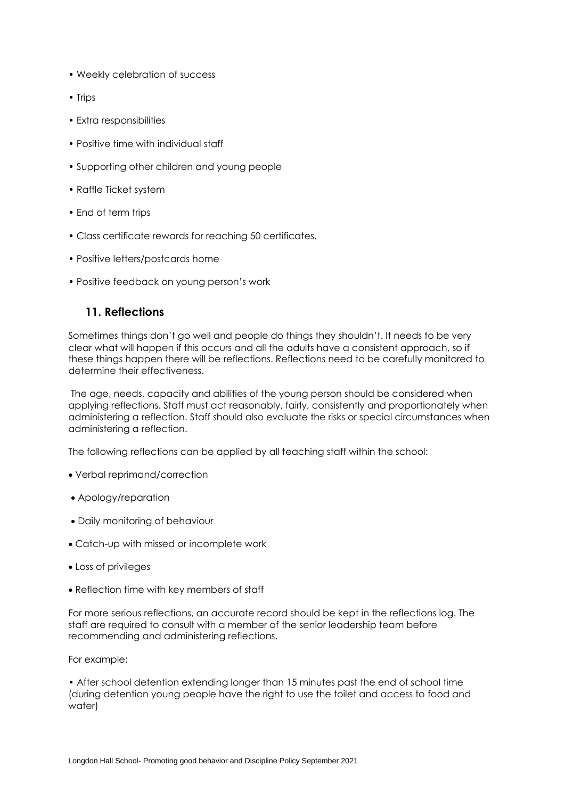- Weekly celebration of success
- Trips
- Extra responsibilities
- Positive time with individual staff
- Supporting other children and young people
- Raffle Ticket system
- End of term trips
- Class certificate rewards for reaching 50 certificates.
- Positive letters/postcards home
- Positive feedback on young person's work

### <span id="page-11-0"></span>**11. Reflections**

Sometimes things don't go well and people do things they shouldn't. It needs to be very clear what will happen if this occurs and all the adults have a consistent approach, so if these things happen there will be reflections. Reflections need to be carefully monitored to determine their effectiveness.

The age, needs, capacity and abilities of the young person should be considered when applying reflections. Staff must act reasonably, fairly, consistently and proportionately when administering a reflection. Staff should also evaluate the risks or special circumstances when administering a reflection.

The following reflections can be applied by all teaching staff within the school:

- Verbal reprimand/correction
- Apology/reparation
- Daily monitoring of behaviour
- Catch-up with missed or incomplete work
- Loss of privileges
- Reflection time with key members of staff

For more serious reflections, an accurate record should be kept in the reflections log. The staff are required to consult with a member of the senior leadership team before recommending and administering reflections.

For example;

• After school detention extending longer than 15 minutes past the end of school time (during detention young people have the right to use the toilet and access to food and water)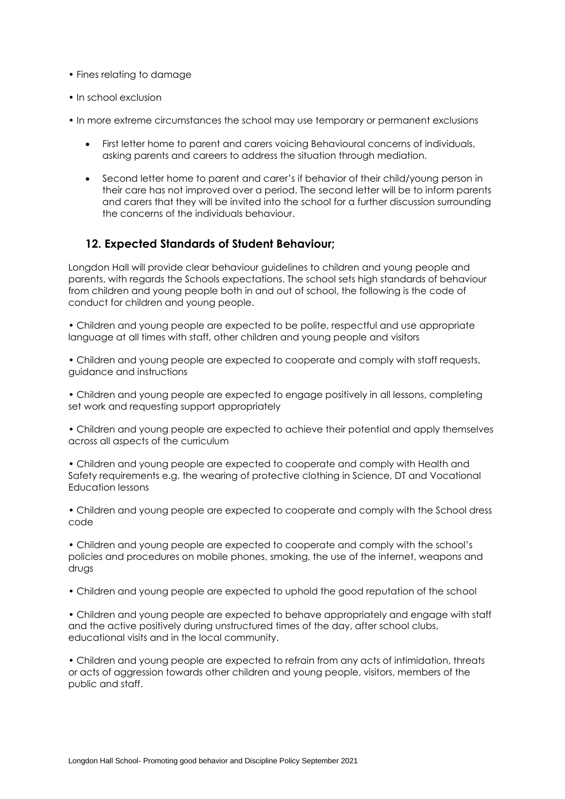- Fines relating to damage
- In school exclusion
- In more extreme circumstances the school may use temporary or permanent exclusions
	- First letter home to parent and carers voicing Behavioural concerns of individuals, asking parents and careers to address the situation through mediation.
	- Second letter home to parent and carer's if behavior of their child/young person in their care has not improved over a period. The second letter will be to inform parents and carers that they will be invited into the school for a further discussion surrounding the concerns of the individuals behaviour.

### <span id="page-12-0"></span>**12. Expected Standards of Student Behaviour;**

Longdon Hall will provide clear behaviour guidelines to children and young people and parents, with regards the Schools expectations. The school sets high standards of behaviour from children and young people both in and out of school, the following is the code of conduct for children and young people.

• Children and young people are expected to be polite, respectful and use appropriate language at all times with staff, other children and young people and visitors

• Children and young people are expected to cooperate and comply with staff requests, guidance and instructions

• Children and young people are expected to engage positively in all lessons, completing set work and requesting support appropriately

• Children and young people are expected to achieve their potential and apply themselves across all aspects of the curriculum

• Children and young people are expected to cooperate and comply with Health and Safety requirements e.g. the wearing of protective clothing in Science, DT and Vocational Education lessons

• Children and young people are expected to cooperate and comply with the School dress code

• Children and young people are expected to cooperate and comply with the school's policies and procedures on mobile phones, smoking, the use of the internet, weapons and drugs

• Children and young people are expected to uphold the good reputation of the school

• Children and young people are expected to behave appropriately and engage with staff and the active positively during unstructured times of the day, after school clubs, educational visits and in the local community.

• Children and young people are expected to refrain from any acts of intimidation, threats or acts of aggression towards other children and young people, visitors, members of the public and staff.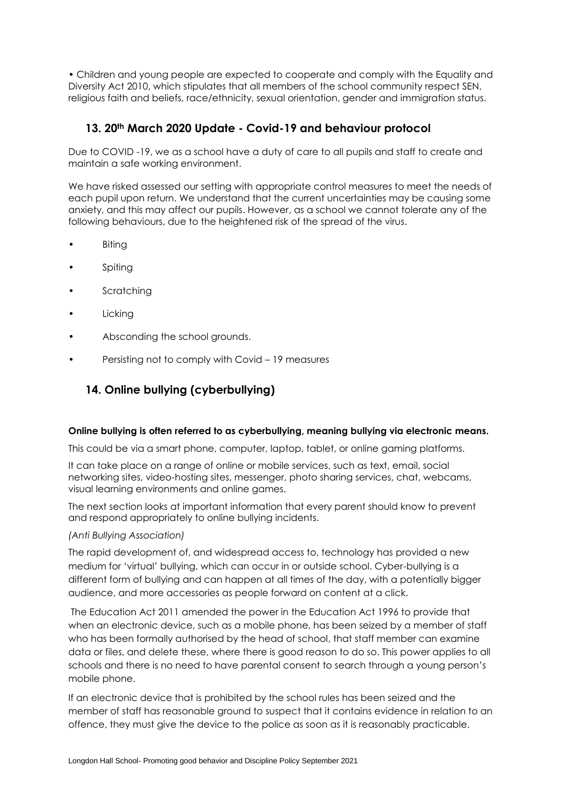• Children and young people are expected to cooperate and comply with the Equality and Diversity Act 2010, which stipulates that all members of the school community respect SEN, religious faith and beliefs, race/ethnicity, sexual orientation, gender and immigration status.

### <span id="page-13-0"></span>**13. 20th March 2020 Update - Covid-19 and behaviour protocol**

Due to COVID -19, we as a school have a duty of care to all pupils and staff to create and maintain a safe working environment.

We have risked assessed our setting with appropriate control measures to meet the needs of each pupil upon return. We understand that the current uncertainties may be causing some anxiety, and this may affect our pupils. However, as a school we cannot tolerate any of the following behaviours, due to the heightened risk of the spread of the virus.

- Biting
- **Spiting**
- **Scratching**
- **Licking**
- Absconding the school grounds.
- Persisting not to comply with Covid 19 measures

# <span id="page-13-1"></span>**14. Online bullying (cyberbullying)**

#### **Online bullying is often referred to as cyberbullying, meaning bullying via electronic means.**

This could be via a smart phone, computer, laptop, tablet, or online gaming platforms.

It can take place on a range of online or mobile services, such as text, email, social networking sites, video-hosting sites, messenger, photo sharing services, chat, webcams, visual learning environments and online games.

The next section looks at important information that every parent should know to prevent and respond appropriately to online bullying incidents.

#### *(Anti Bullying Association)*

The rapid development of, and widespread access to, technology has provided a new medium for 'virtual' bullying, which can occur in or outside school. Cyber-bullying is a different form of bullying and can happen at all times of the day, with a potentially bigger audience, and more accessories as people forward on content at a click.

The Education Act 2011 amended the power in the Education Act 1996 to provide that when an electronic device, such as a mobile phone, has been seized by a member of staff who has been formally authorised by the head of school, that staff member can examine data or files, and delete these, where there is good reason to do so. This power applies to all schools and there is no need to have parental consent to search through a young person's mobile phone.

If an electronic device that is prohibited by the school rules has been seized and the member of staff has reasonable ground to suspect that it contains evidence in relation to an offence, they must give the device to the police as soon as it is reasonably practicable.